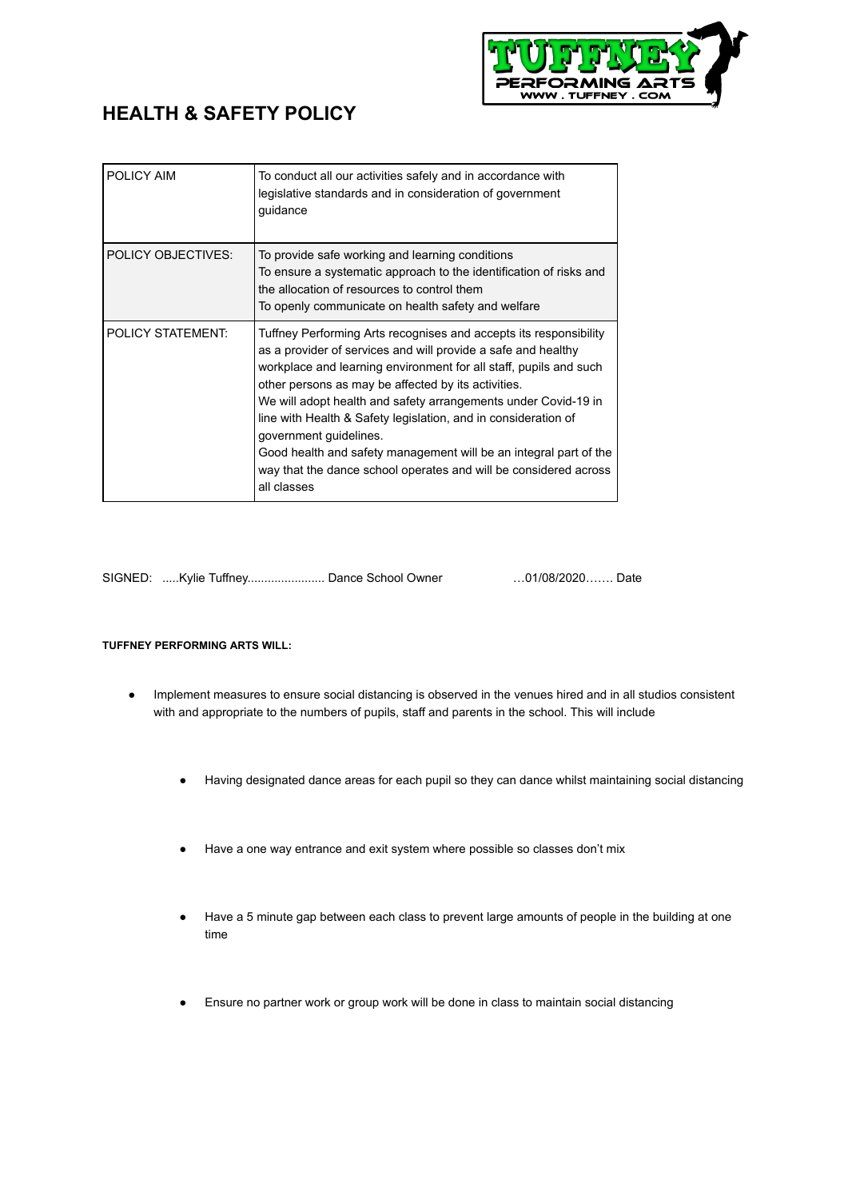

## **HEALTH & SAFETY POLICY**

| POLICY AIM               | To conduct all our activities safely and in accordance with<br>legislative standards and in consideration of government<br>guidance                                                                                                                                                                                                                                                                                                                                                                                                                                                  |
|--------------------------|--------------------------------------------------------------------------------------------------------------------------------------------------------------------------------------------------------------------------------------------------------------------------------------------------------------------------------------------------------------------------------------------------------------------------------------------------------------------------------------------------------------------------------------------------------------------------------------|
| POLICY OBJECTIVES:       | To provide safe working and learning conditions<br>To ensure a systematic approach to the identification of risks and<br>the allocation of resources to control them<br>To openly communicate on health safety and welfare                                                                                                                                                                                                                                                                                                                                                           |
| <b>POLICY STATEMENT:</b> | Tuffney Performing Arts recognises and accepts its responsibility<br>as a provider of services and will provide a safe and healthy<br>workplace and learning environment for all staff, pupils and such<br>other persons as may be affected by its activities.<br>We will adopt health and safety arrangements under Covid-19 in<br>line with Health & Safety legislation, and in consideration of<br>government guidelines.<br>Good health and safety management will be an integral part of the<br>way that the dance school operates and will be considered across<br>all classes |

SIGNED: .....Kylie Tuffney....................... Dance School Owner …01/08/2020……. Date

## **TUFFNEY PERFORMING ARTS WILL:**

- Implement measures to ensure social distancing is observed in the venues hired and in all studios consistent with and appropriate to the numbers of pupils, staff and parents in the school. This will include
	- Having designated dance areas for each pupil so they can dance whilst maintaining social distancing
	- Have a one way entrance and exit system where possible so classes don't mix
	- Have a 5 minute gap between each class to prevent large amounts of people in the building at one time
	- Ensure no partner work or group work will be done in class to maintain social distancing